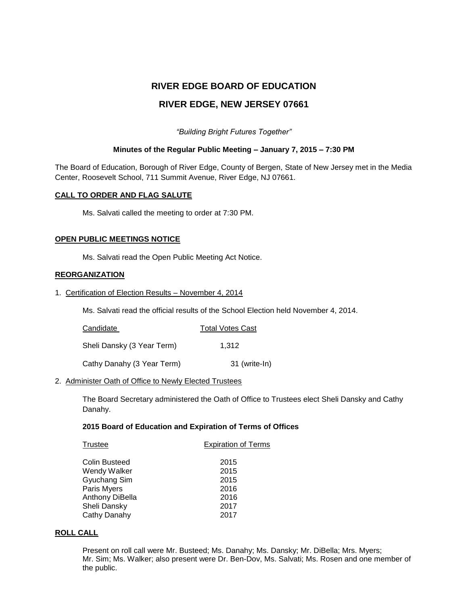# **RIVER EDGE BOARD OF EDUCATION**

# **RIVER EDGE, NEW JERSEY 07661**

*"Building Bright Futures Together"*

# **Minutes of the Regular Public Meeting – January 7, 2015 – 7:30 PM**

The Board of Education, Borough of River Edge, County of Bergen, State of New Jersey met in the Media Center, Roosevelt School, 711 Summit Avenue, River Edge, NJ 07661.

# **CALL TO ORDER AND FLAG SALUTE**

Ms. Salvati called the meeting to order at 7:30 PM.

# **OPEN PUBLIC MEETINGS NOTICE**

Ms. Salvati read the Open Public Meeting Act Notice.

# **REORGANIZATION**

1. Certification of Election Results – November 4, 2014

Ms. Salvati read the official results of the School Election held November 4, 2014.

| Candidate                  | <b>Total Votes Cast</b> |
|----------------------------|-------------------------|
| Sheli Dansky (3 Year Term) | 1.312                   |
| Cathy Danahy (3 Year Term) | 31 (write-In)           |

# 2. Administer Oath of Office to Newly Elected Trustees

The Board Secretary administered the Oath of Office to Trustees elect Sheli Dansky and Cathy Danahy.

# **2015 Board of Education and Expiration of Terms of Offices**

| Trustee              | <b>Expiration of Terms</b> |
|----------------------|----------------------------|
| <b>Colin Busteed</b> | 2015                       |
| Wendy Walker         | 2015                       |
| Gyuchang Sim         | 2015                       |
| Paris Myers          | 2016                       |
| Anthony DiBella      | 2016                       |
| Sheli Dansky         | 2017                       |
| Cathy Danahy         | 2017                       |
|                      |                            |

# **ROLL CALL**

Present on roll call were Mr. Busteed; Ms. Danahy; Ms. Dansky; Mr. DiBella; Mrs. Myers; Mr. Sim; Ms. Walker; also present were Dr. Ben-Dov, Ms. Salvati; Ms. Rosen and one member of the public.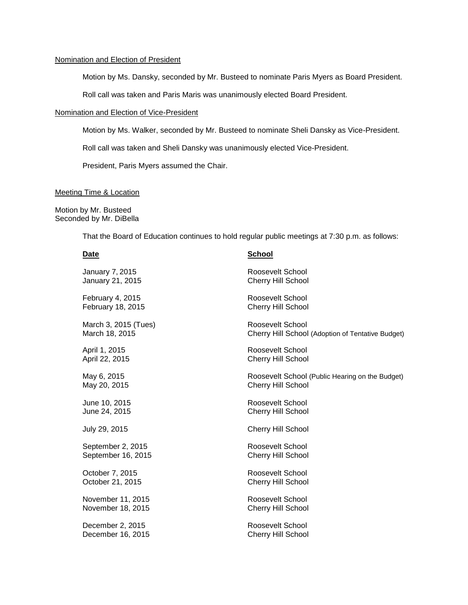# Nomination and Election of President

Motion by Ms. Dansky, seconded by Mr. Busteed to nominate Paris Myers as Board President.

Roll call was taken and Paris Maris was unanimously elected Board President.

#### Nomination and Election of Vice-President

Motion by Ms. Walker, seconded by Mr. Busteed to nominate Sheli Dansky as Vice-President.

Roll call was taken and Sheli Dansky was unanimously elected Vice-President.

President, Paris Myers assumed the Chair.

#### Meeting Time & Location

Motion by Mr. Busteed Seconded by Mr. DiBella

That the Board of Education continues to hold regular public meetings at 7:30 p.m. as follows:

### **Date School**

| January 7, 2015      | Roosevelt School                                  |
|----------------------|---------------------------------------------------|
| January 21, 2015     | Cherry Hill School                                |
| February 4, 2015     | Roosevelt School                                  |
| February 18, 2015    | <b>Cherry Hill School</b>                         |
| March 3, 2015 (Tues) | Roosevelt School                                  |
| March 18, 2015       | Cherry Hill School (Adoption of Tentative Budget) |
| April 1, 2015        | Roosevelt School                                  |
| April 22, 2015       | <b>Cherry Hill School</b>                         |
| May 6, 2015          | Roosevelt School (Public Hearing on the Budget)   |
| May 20, 2015         | <b>Cherry Hill School</b>                         |
| June 10, 2015        | Roosevelt School                                  |
| June 24, 2015        | <b>Cherry Hill School</b>                         |
| July 29, 2015        | <b>Cherry Hill School</b>                         |
| September 2, 2015    | Roosevelt School                                  |
| September 16, 2015   | <b>Cherry Hill School</b>                         |
| October 7, 2015      | Roosevelt School                                  |
| October 21, 2015     | <b>Cherry Hill School</b>                         |
| November 11, 2015    | Roosevelt School                                  |
| November 18, 2015    | <b>Cherry Hill School</b>                         |
| December 2, 2015     | Roosevelt School                                  |
| December 16, 2015    | <b>Cherry Hill School</b>                         |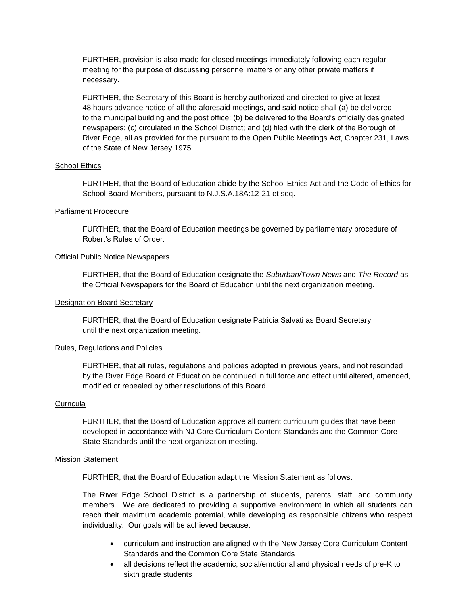FURTHER, provision is also made for closed meetings immediately following each regular meeting for the purpose of discussing personnel matters or any other private matters if necessary.

FURTHER, the Secretary of this Board is hereby authorized and directed to give at least 48 hours advance notice of all the aforesaid meetings, and said notice shall (a) be delivered to the municipal building and the post office; (b) be delivered to the Board's officially designated newspapers; (c) circulated in the School District; and (d) filed with the clerk of the Borough of River Edge, all as provided for the pursuant to the Open Public Meetings Act, Chapter 231, Laws of the State of New Jersey 1975.

# School Ethics

FURTHER, that the Board of Education abide by the School Ethics Act and the Code of Ethics for School Board Members, pursuant to N.J.S.A.18A:12-21 et seq.

# Parliament Procedure

FURTHER, that the Board of Education meetings be governed by parliamentary procedure of Robert's Rules of Order.

# Official Public Notice Newspapers

FURTHER, that the Board of Education designate the *Suburban/Town News* and *The Record* as the Official Newspapers for the Board of Education until the next organization meeting.

# Designation Board Secretary

FURTHER, that the Board of Education designate Patricia Salvati as Board Secretary until the next organization meeting.

# Rules, Regulations and Policies

FURTHER, that all rules, regulations and policies adopted in previous years, and not rescinded by the River Edge Board of Education be continued in full force and effect until altered, amended, modified or repealed by other resolutions of this Board.

# **Curricula**

FURTHER, that the Board of Education approve all current curriculum guides that have been developed in accordance with NJ Core Curriculum Content Standards and the Common Core State Standards until the next organization meeting.

# Mission Statement

FURTHER, that the Board of Education adapt the Mission Statement as follows:

The River Edge School District is a partnership of students, parents, staff, and community members. We are dedicated to providing a supportive environment in which all students can reach their maximum academic potential, while developing as responsible citizens who respect individuality. Our goals will be achieved because:

- curriculum and instruction are aligned with the New Jersey Core Curriculum Content Standards and the Common Core State Standards
- all decisions reflect the academic, social/emotional and physical needs of pre-K to sixth grade students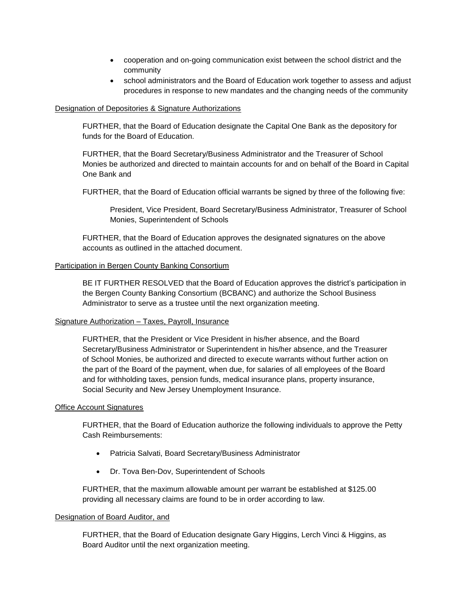- cooperation and on-going communication exist between the school district and the community
- school administrators and the Board of Education work together to assess and adjust procedures in response to new mandates and the changing needs of the community

# Designation of Depositories & Signature Authorizations

FURTHER, that the Board of Education designate the Capital One Bank as the depository for funds for the Board of Education.

FURTHER, that the Board Secretary/Business Administrator and the Treasurer of School Monies be authorized and directed to maintain accounts for and on behalf of the Board in Capital One Bank and

FURTHER, that the Board of Education official warrants be signed by three of the following five:

President, Vice President, Board Secretary/Business Administrator, Treasurer of School Monies, Superintendent of Schools

FURTHER, that the Board of Education approves the designated signatures on the above accounts as outlined in the attached document.

# Participation in Bergen County Banking Consortium

BE IT FURTHER RESOLVED that the Board of Education approves the district's participation in the Bergen County Banking Consortium (BCBANC) and authorize the School Business Administrator to serve as a trustee until the next organization meeting.

# Signature Authorization – Taxes, Payroll, Insurance

FURTHER, that the President or Vice President in his/her absence, and the Board Secretary/Business Administrator or Superintendent in his/her absence, and the Treasurer of School Monies, be authorized and directed to execute warrants without further action on the part of the Board of the payment, when due, for salaries of all employees of the Board and for withholding taxes, pension funds, medical insurance plans, property insurance, Social Security and New Jersey Unemployment Insurance.

# Office Account Signatures

FURTHER, that the Board of Education authorize the following individuals to approve the Petty Cash Reimbursements:

- Patricia Salvati, Board Secretary/Business Administrator
- Dr. Tova Ben-Dov, Superintendent of Schools

FURTHER, that the maximum allowable amount per warrant be established at \$125.00 providing all necessary claims are found to be in order according to law.

# Designation of Board Auditor, and

FURTHER, that the Board of Education designate Gary Higgins, Lerch Vinci & Higgins, as Board Auditor until the next organization meeting.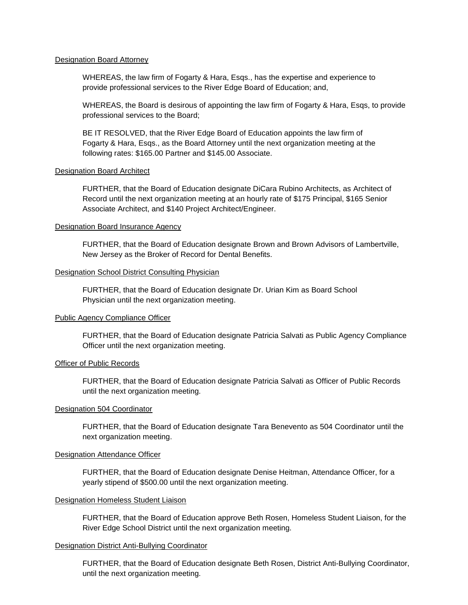#### Designation Board Attorney

WHEREAS, the law firm of Fogarty & Hara, Esqs., has the expertise and experience to provide professional services to the River Edge Board of Education; and,

WHEREAS, the Board is desirous of appointing the law firm of Fogarty & Hara, Esqs, to provide professional services to the Board;

BE IT RESOLVED, that the River Edge Board of Education appoints the law firm of Fogarty & Hara, Esqs., as the Board Attorney until the next organization meeting at the following rates: \$165.00 Partner and \$145.00 Associate.

#### Designation Board Architect

FURTHER, that the Board of Education designate DiCara Rubino Architects, as Architect of Record until the next organization meeting at an hourly rate of \$175 Principal, \$165 Senior Associate Architect, and \$140 Project Architect/Engineer.

### Designation Board Insurance Agency

FURTHER, that the Board of Education designate Brown and Brown Advisors of Lambertville, New Jersey as the Broker of Record for Dental Benefits.

#### Designation School District Consulting Physician

FURTHER, that the Board of Education designate Dr. Urian Kim as Board School Physician until the next organization meeting.

# Public Agency Compliance Officer

FURTHER, that the Board of Education designate Patricia Salvati as Public Agency Compliance Officer until the next organization meeting.

# **Officer of Public Records**

FURTHER, that the Board of Education designate Patricia Salvati as Officer of Public Records until the next organization meeting.

#### Designation 504 Coordinator

FURTHER, that the Board of Education designate Tara Benevento as 504 Coordinator until the next organization meeting.

#### Designation Attendance Officer

FURTHER, that the Board of Education designate Denise Heitman, Attendance Officer, for a yearly stipend of \$500.00 until the next organization meeting.

#### Designation Homeless Student Liaison

FURTHER, that the Board of Education approve Beth Rosen, Homeless Student Liaison, for the River Edge School District until the next organization meeting.

#### Designation District Anti-Bullying Coordinator

FURTHER, that the Board of Education designate Beth Rosen, District Anti-Bullying Coordinator, until the next organization meeting.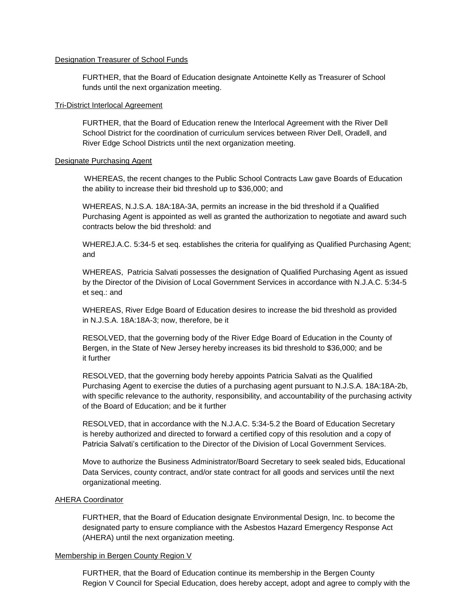# Designation Treasurer of School Funds

FURTHER, that the Board of Education designate Antoinette Kelly as Treasurer of School funds until the next organization meeting.

# Tri-District Interlocal Agreement

FURTHER, that the Board of Education renew the Interlocal Agreement with the River Dell School District for the coordination of curriculum services between River Dell, Oradell, and River Edge School Districts until the next organization meeting.

#### Designate Purchasing Agent

WHEREAS, the recent changes to the Public School Contracts Law gave Boards of Education the ability to increase their bid threshold up to \$36,000; and

WHEREAS, N.J.S.A. 18A:18A-3A, permits an increase in the bid threshold if a Qualified Purchasing Agent is appointed as well as granted the authorization to negotiate and award such contracts below the bid threshold: and

WHEREJ.A.C. 5:34-5 et seq. establishes the criteria for qualifying as Qualified Purchasing Agent; and

WHEREAS, Patricia Salvati possesses the designation of Qualified Purchasing Agent as issued by the Director of the Division of Local Government Services in accordance with N.J.A.C. 5:34-5 et seq.: and

WHEREAS, River Edge Board of Education desires to increase the bid threshold as provided in N.J.S.A. 18A:18A-3; now, therefore, be it

RESOLVED, that the governing body of the River Edge Board of Education in the County of Bergen, in the State of New Jersey hereby increases its bid threshold to \$36,000; and be it further

RESOLVED, that the governing body hereby appoints Patricia Salvati as the Qualified Purchasing Agent to exercise the duties of a purchasing agent pursuant to N.J.S.A. 18A:18A-2b, with specific relevance to the authority, responsibility, and accountability of the purchasing activity of the Board of Education; and be it further

RESOLVED, that in accordance with the N.J.A.C. 5:34-5.2 the Board of Education Secretary is hereby authorized and directed to forward a certified copy of this resolution and a copy of Patricia Salvati's certification to the Director of the Division of Local Government Services.

Move to authorize the Business Administrator/Board Secretary to seek sealed bids, Educational Data Services, county contract, and/or state contract for all goods and services until the next organizational meeting.

# AHERA Coordinator

FURTHER, that the Board of Education designate Environmental Design, Inc. to become the designated party to ensure compliance with the Asbestos Hazard Emergency Response Act (AHERA) until the next organization meeting.

# Membership in Bergen County Region V

FURTHER, that the Board of Education continue its membership in the Bergen County Region V Council for Special Education, does hereby accept, adopt and agree to comply with the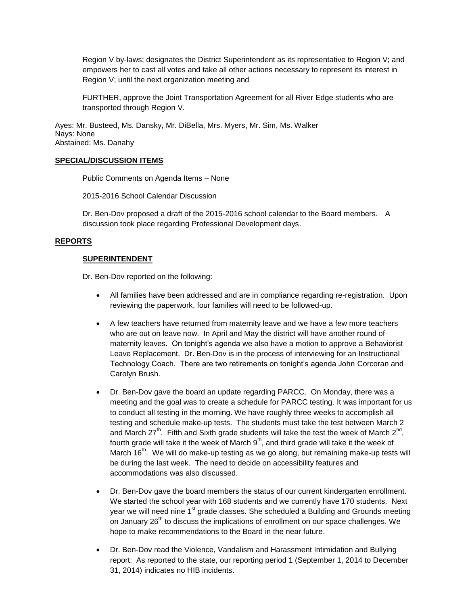Region V by-laws; designates the District Superintendent as its representative to Region V; and empowers her to cast all votes and take all other actions necessary to represent its interest in Region V; until the next organization meeting and

FURTHER, approve the Joint Transportation Agreement for all River Edge students who are transported through Region V.

Ayes: Mr. Busteed, Ms. Dansky, Mr. DiBella, Mrs. Myers, Mr. Sim, Ms. Walker Nays: None Abstained: Ms. Danahy

# **SPECIAL/DISCUSSION ITEMS**

Public Comments on Agenda Items – None

2015-2016 School Calendar Discussion

Dr. Ben-Dov proposed a draft of the 2015-2016 school calendar to the Board members. A discussion took place regarding Professional Development days.

# **REPORTS**

# **SUPERINTENDENT**

Dr. Ben-Dov reported on the following:

- All families have been addressed and are in compliance regarding re-registration. Upon reviewing the paperwork, four families will need to be followed-up.
- A few teachers have returned from maternity leave and we have a few more teachers who are out on leave now. In April and May the district will have another round of maternity leaves. On tonight's agenda we also have a motion to approve a Behaviorist Leave Replacement. Dr. Ben-Dov is in the process of interviewing for an Instructional Technology Coach. There are two retirements on tonight's agenda John Corcoran and Carolyn Brush.
- Dr. Ben-Dov gave the board an update regarding PARCC. On Monday, there was a meeting and the goal was to create a schedule for PARCC testing. It was important for us to conduct all testing in the morning. We have roughly three weeks to accomplish all testing and schedule make-up tests. The students must take the test between March 2 and March 27<sup>th</sup>. Fifth and Sixth grade students will take the test the week of March 2<sup>nd</sup>, fourth grade will take it the week of March 9<sup>th</sup>, and third grade will take it the week of March 16<sup>th</sup>. We will do make-up testing as we go along, but remaining make-up tests will be during the last week. The need to decide on accessibility features and accommodations was also discussed.
- Dr. Ben-Dov gave the board members the status of our current kindergarten enrollment. We started the school year with 168 students and we currently have 170 students. Next year we will need nine 1<sup>st</sup> grade classes. She scheduled a Building and Grounds meeting on January  $26<sup>th</sup>$  to discuss the implications of enrollment on our space challenges. We hope to make recommendations to the Board in the near future.
- Dr. Ben-Dov read the Violence, Vandalism and Harassment Intimidation and Bullying report: As reported to the state, our reporting period 1 (September 1, 2014 to December 31, 2014) indicates no HIB incidents.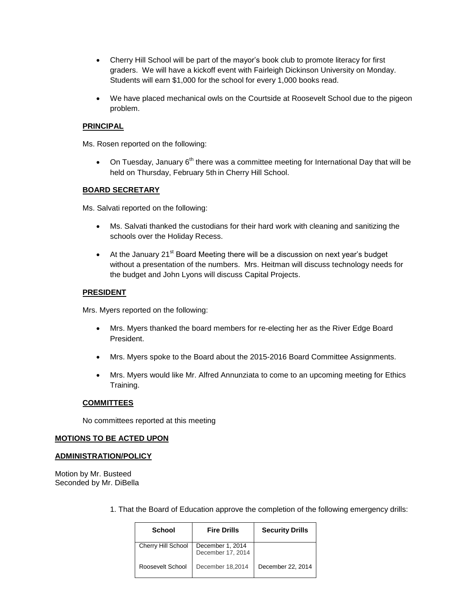- Cherry Hill School will be part of the mayor's book club to promote literacy for first graders. We will have a kickoff event with Fairleigh Dickinson University on Monday. Students will earn \$1,000 for the school for every 1,000 books read.
- We have placed mechanical owls on the Courtside at Roosevelt School due to the pigeon problem.

# **PRINCIPAL**

Ms. Rosen reported on the following:

• On Tuesday, January  $6<sup>th</sup>$  there was a committee meeting for International Day that will be held on Thursday, February 5th in Cherry Hill School.

# **BOARD SECRETARY**

Ms. Salvati reported on the following:

- Ms. Salvati thanked the custodians for their hard work with cleaning and sanitizing the schools over the Holiday Recess.
- $\bullet$  At the January 21<sup>st</sup> Board Meeting there will be a discussion on next year's budget without a presentation of the numbers. Mrs. Heitman will discuss technology needs for the budget and John Lyons will discuss Capital Projects.

# **PRESIDENT**

Mrs. Myers reported on the following:

- Mrs. Myers thanked the board members for re-electing her as the River Edge Board President.
- Mrs. Myers spoke to the Board about the 2015-2016 Board Committee Assignments.
- Mrs. Myers would like Mr. Alfred Annunziata to come to an upcoming meeting for Ethics Training.

# **COMMITTEES**

No committees reported at this meeting

# **MOTIONS TO BE ACTED UPON**

# **ADMINISTRATION/POLICY**

Motion by Mr. Busteed Seconded by Mr. DiBella

1. That the Board of Education approve the completion of the following emergency drills:

| School             | <b>Fire Drills</b>                    | <b>Security Drills</b> |
|--------------------|---------------------------------------|------------------------|
| Cherry Hill School | December 1, 2014<br>December 17, 2014 |                        |
| Roosevelt School   | December 18,2014                      | December 22, 2014      |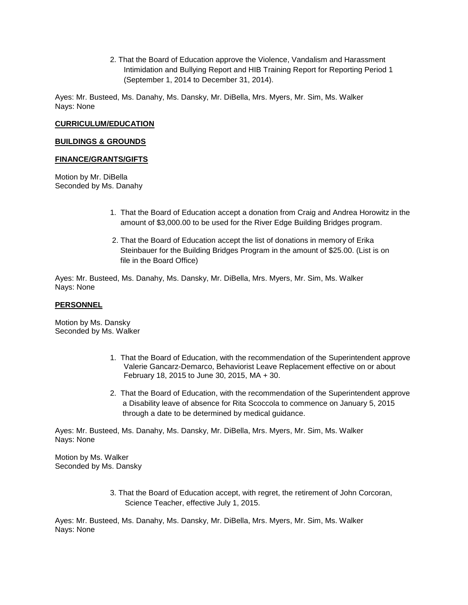2. That the Board of Education approve the Violence, Vandalism and Harassment Intimidation and Bullying Report and HIB Training Report for Reporting Period 1 (September 1, 2014 to December 31, 2014).

Ayes: Mr. Busteed, Ms. Danahy, Ms. Dansky, Mr. DiBella, Mrs. Myers, Mr. Sim, Ms. Walker Nays: None

# **CURRICULUM/EDUCATION**

# **BUILDINGS & GROUNDS**

# **FINANCE/GRANTS/GIFTS**

Motion by Mr. DiBella Seconded by Ms. Danahy

- 1. That the Board of Education accept a donation from Craig and Andrea Horowitz in the amount of \$3,000.00 to be used for the River Edge Building Bridges program.
- 2. That the Board of Education accept the list of donations in memory of Erika Steinbauer for the Building Bridges Program in the amount of \$25.00. (List is on file in the Board Office)

Ayes: Mr. Busteed, Ms. Danahy, Ms. Dansky, Mr. DiBella, Mrs. Myers, Mr. Sim, Ms. Walker Nays: None

# **PERSONNEL**

Motion by Ms. Dansky Seconded by Ms. Walker

- 1. That the Board of Education, with the recommendation of the Superintendent approve Valerie Gancarz-Demarco, Behaviorist Leave Replacement effective on or about February 18, 2015 to June 30, 2015, MA + 30.
- 2. That the Board of Education, with the recommendation of the Superintendent approve a Disability leave of absence for Rita Scoccola to commence on January 5, 2015 through a date to be determined by medical guidance.

Ayes: Mr. Busteed, Ms. Danahy, Ms. Dansky, Mr. DiBella, Mrs. Myers, Mr. Sim, Ms. Walker Nays: None

Motion by Ms. Walker Seconded by Ms. Dansky

> 3. That the Board of Education accept, with regret, the retirement of John Corcoran, Science Teacher, effective July 1, 2015.

Ayes: Mr. Busteed, Ms. Danahy, Ms. Dansky, Mr. DiBella, Mrs. Myers, Mr. Sim, Ms. Walker Nays: None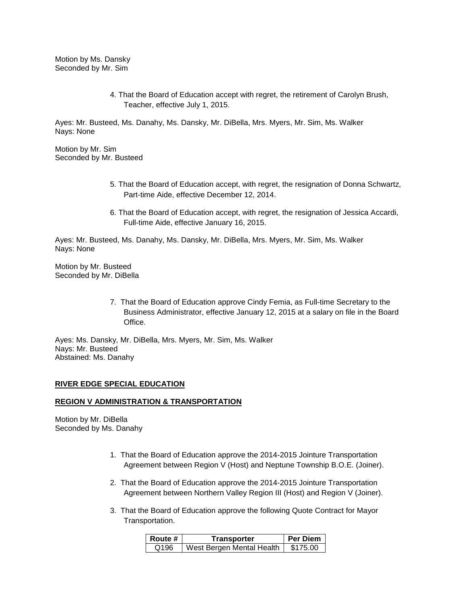Motion by Ms. Dansky Seconded by Mr. Sim

> 4. That the Board of Education accept with regret, the retirement of Carolyn Brush, Teacher, effective July 1, 2015.

Ayes: Mr. Busteed, Ms. Danahy, Ms. Dansky, Mr. DiBella, Mrs. Myers, Mr. Sim, Ms. Walker Nays: None

Motion by Mr. Sim Seconded by Mr. Busteed

- 5. That the Board of Education accept, with regret, the resignation of Donna Schwartz, Part-time Aide, effective December 12, 2014.
- 6. That the Board of Education accept, with regret, the resignation of Jessica Accardi, Full-time Aide, effective January 16, 2015.

Ayes: Mr. Busteed, Ms. Danahy, Ms. Dansky, Mr. DiBella, Mrs. Myers, Mr. Sim, Ms. Walker Nays: None

Motion by Mr. Busteed Seconded by Mr. DiBella

> 7. That the Board of Education approve Cindy Femia, as Full-time Secretary to the Business Administrator, effective January 12, 2015 at a salary on file in the Board Office.

Ayes: Ms. Dansky, Mr. DiBella, Mrs. Myers, Mr. Sim, Ms. Walker Nays: Mr. Busteed Abstained: Ms. Danahy

# **RIVER EDGE SPECIAL EDUCATION**

# **REGION V ADMINISTRATION & TRANSPORTATION**

Motion by Mr. DiBella Seconded by Ms. Danahy

- 1. That the Board of Education approve the 2014-2015 Jointure Transportation Agreement between Region V (Host) and Neptune Township B.O.E. (Joiner).
- 2. That the Board of Education approve the 2014-2015 Jointure Transportation Agreement between Northern Valley Region III (Host) and Region V (Joiner).
- 3. That the Board of Education approve the following Quote Contract for Mayor Transportation.

| ∣ Route # | Transporter               | <b>Per Diem</b> |
|-----------|---------------------------|-----------------|
| Q196      | West Bergen Mental Health | \$175.00        |